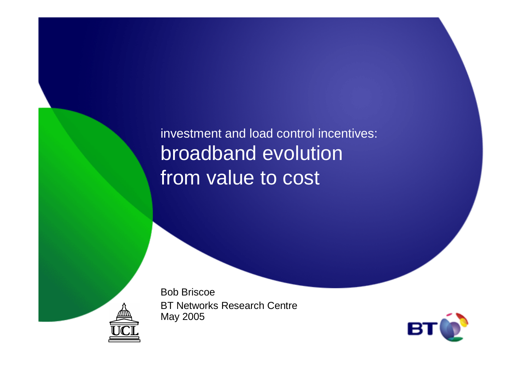investment and load control incentives:broadband evolution from value to cost

Bob Briscoe

May 2005

BT Networks Research Centre

**B**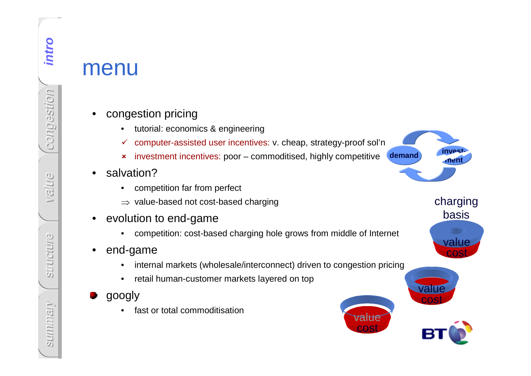- 
- $\checkmark$  computer-assisted user incentives: v. cheap, strategy-proof sol'n
- investment incentives: poor commoditised, highly competitive
- • salvation?
	- competition far from perfect •
	- $\Rightarrow$  value-based not cost-based charging
- • evolution to end-game
	- competition: cost-based charging hole grows from middle of Internet •
- $\bullet$  end-game
	- internal markets (wholesale/interconnect) driven to congestion pricing $\bullet$
	- $\bullet$ retail human-customer markets layered on top
- googly
	- •fast or total commoditisation



costvalue

costvalue

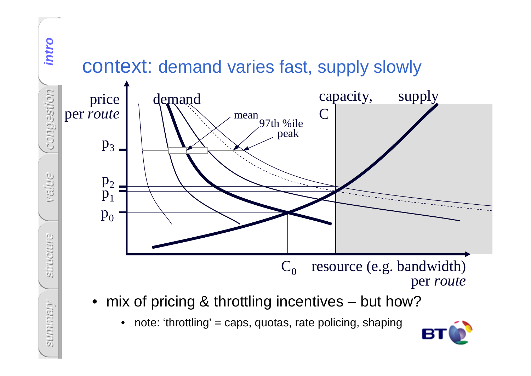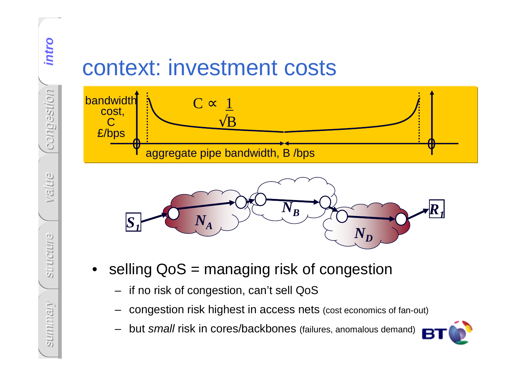





- -
	-
	-



intro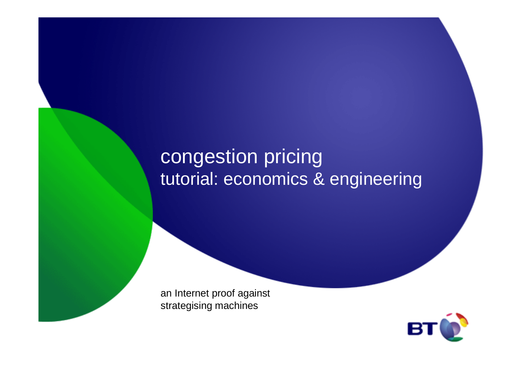# congestion pricingtutorial: economics & engineering

an Internet proof against strategising machines

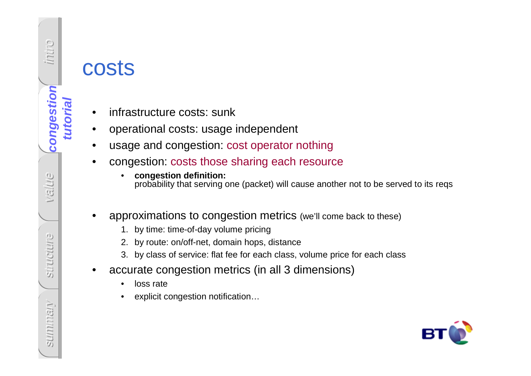

# costs

- •infrastructure costs: sunk
- •operational costs: usage independent
- •usage and congestion: cost operator nothing
- congestion: costs those sharing each resource•
	- • **congestion definition:**  probability that serving one (packet) will cause another not to be served to its reqs
- • approximations to congestion metrics (we'll come back to these)
	- 1. by time: time-of-day volume pricing
	- 2. by route: on/off-net, domain hops, distance
	- 3. by class of service: flat fee for each class, volume price for each class
- • accurate congestion metrics (in all 3 dimensions)
	- •loss rate
	- explicit congestion notification…•

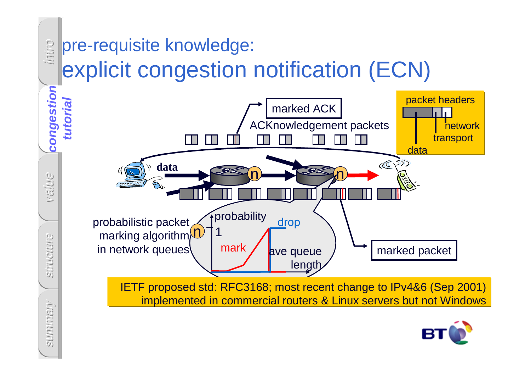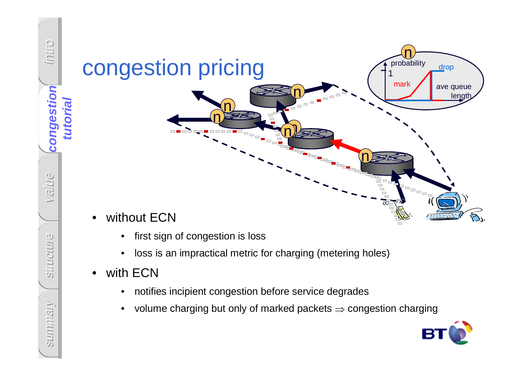

- first sign of congestion is loss $\bullet$
- $\bullet$ loss is an impractical metric for charging (metering holes)
- •with ECN

intro

**congestion** 

congestion

**tutorial**

value

summary **congestion**

structure

**SUMMINSIT** 

Stiructure

- notifies incipient congestion before service degrades $\bullet$
- $\bullet$ volume charging but only of marked packets ⇒ congestion charging

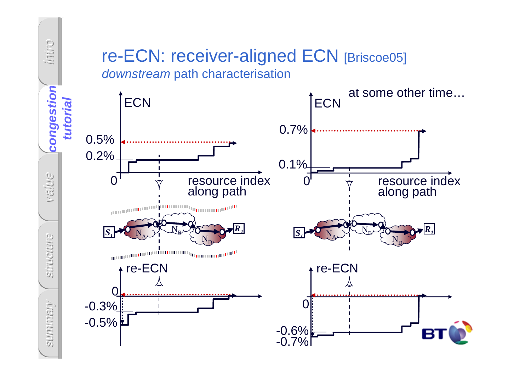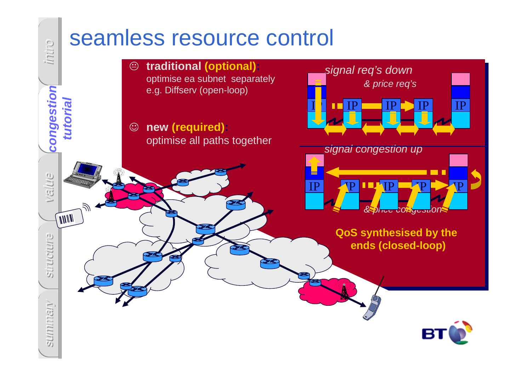![](_page_9_Figure_0.jpeg)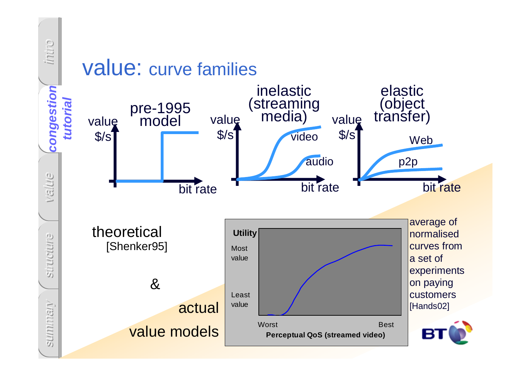![](_page_10_Figure_0.jpeg)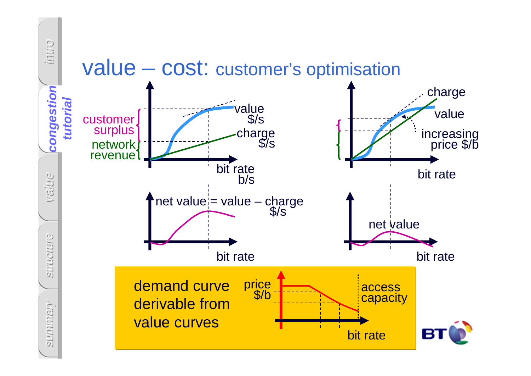![](_page_11_Figure_0.jpeg)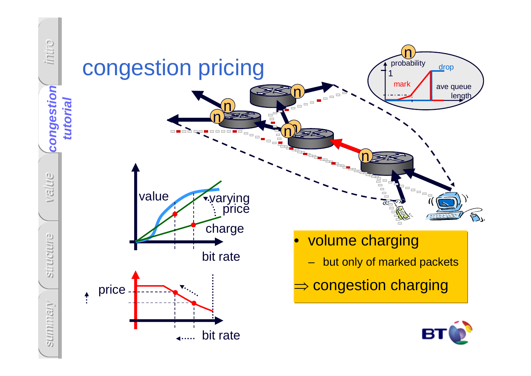![](_page_12_Figure_0.jpeg)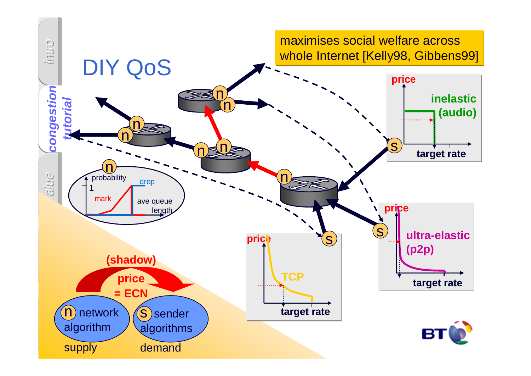![](_page_13_Figure_0.jpeg)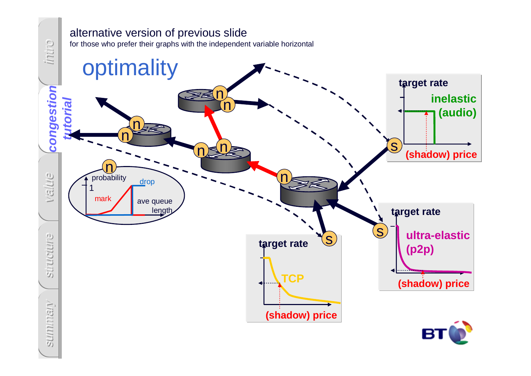![](_page_14_Figure_0.jpeg)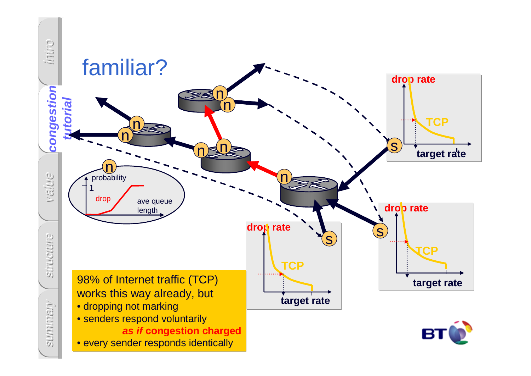![](_page_15_Figure_0.jpeg)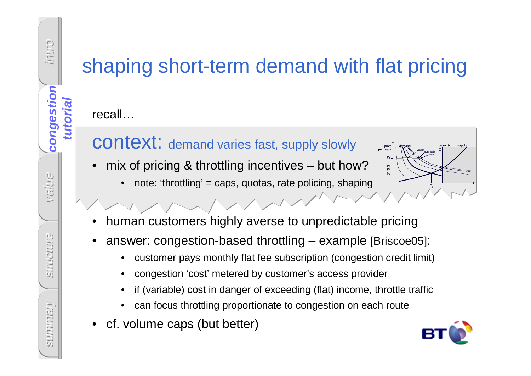# shaping short-term demand with flat pricing

recall…

intro

**congestion** 

congestion

**tutorial**

value

summary **congestion**

structure

**SUIMMISIN** 

Structure

## context: demand varies fast, supply slowly

VIMMMM

- • mix of pricing & throttling incentives – but how?
	- •note: 'throttling' = caps, quotas, rate policing, shaping

![](_page_16_Figure_5.jpeg)

- •human customers highly averse to unpredictable pricing
- • answer: congestion-based throttling – example [Briscoe05]:
	- •customer pays monthly flat fee subscription (congestion credit limit)
	- •congestion 'cost' metered by customer's access provider
	- •if (variable) cost in danger of exceeding (flat) income, throttle traffic
	- •can focus throttling proportionate to congestion on each route
- cf. volume caps (but better)

![](_page_16_Picture_13.jpeg)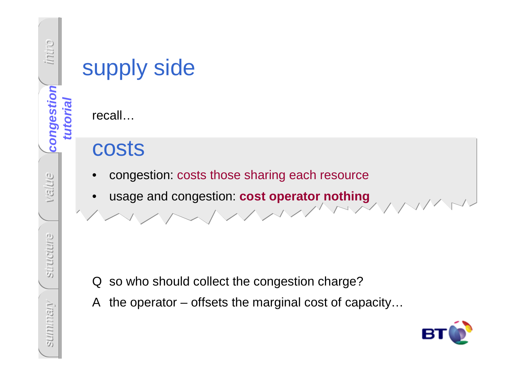![](_page_17_Picture_0.jpeg)

# supply side

recall…

# costs

- •congestion: costs those sharing each resource
- •usage and congestion: **cost operator nothing**

- Q so who should collect the congestion charge?
- A the operator offsets the marginal cost of capacity…

![](_page_17_Picture_8.jpeg)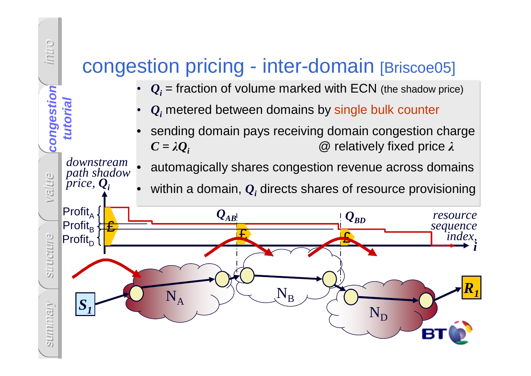# congestion pricing - inter-domain [Briscoe05]

intro

**congestion** 

congestion

**tutorial**

*downstream path shadowprice, Qi*

- • $\boldsymbol{Q}_i$  = fraction of volume marked with ECN (the shadow price)
- • $\boldsymbol{Q}_{i}$  metered between domains by single bulk counter
- • sending domain pays receiving domain congestion charge  $\bm{C} = \lambda \bm{Q}_i$  $\omega$  relatively fixed price λ
- •automagically shares congestion revenue across domains
- •within a domain, *Qi* directs shares of resource provisioning

![](_page_18_Figure_6.jpeg)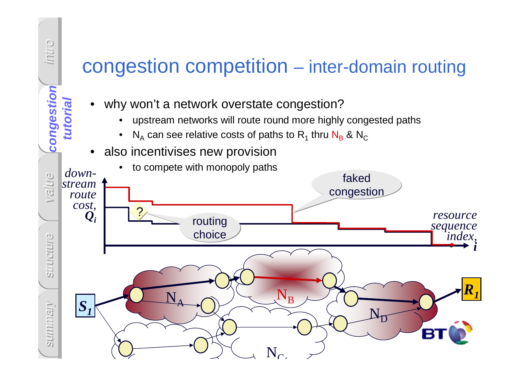![](_page_19_Figure_0.jpeg)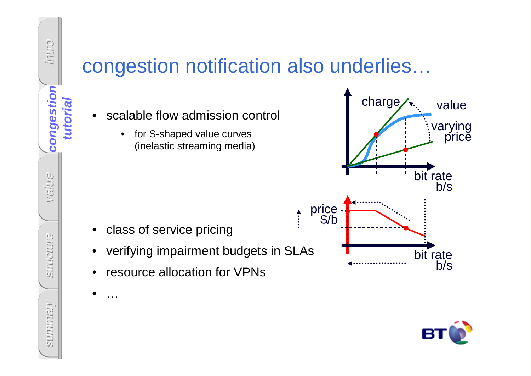![](_page_20_Figure_0.jpeg)

•

…

# congestion notification also underlies…

- • scalable flow admission control
	- $\bullet$  for S-shaped value curves(inelastic streaming media)

![](_page_20_Figure_4.jpeg)

- •verifying impairment budgets in SLAs
- •resource allocation for VPNs

![](_page_20_Figure_7.jpeg)

![](_page_20_Picture_8.jpeg)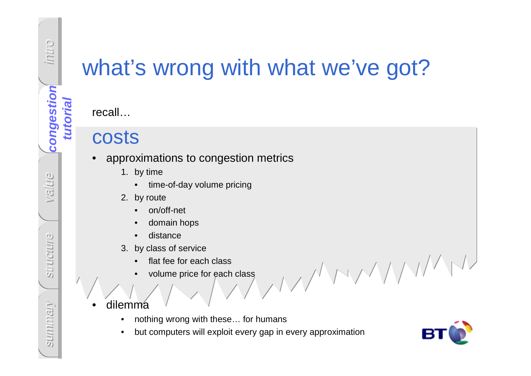**tutorial**

# what's wrong with what we've got?

recall…

## costs

- approximations to congestion metrics •
	- 1. by time
		- time-of-day volume pricing $\bullet$
	- 2. by route
		- on/off-net •
		- •domain hops
		- •distance
	- 3. by class of service
		- flat fee for each class•
		- volume price for each class• $\sim$
- • dilemma
	- nothing wrong with these… for humans•
	- •but computers will exploit every gap in every approximation

![](_page_21_Picture_17.jpeg)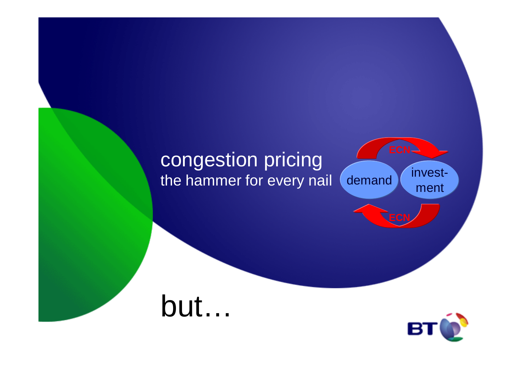# congestion pricingthe hammer for every nail

investmentdemand

# but…

![](_page_22_Picture_3.jpeg)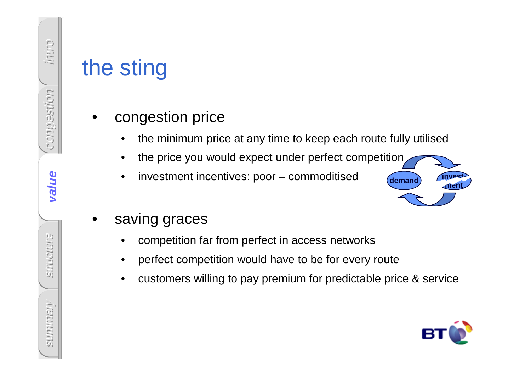- -
	-
	-

![](_page_23_Picture_6.jpeg)

- -
	-
- the sting<br>
 congestion price<br>
 the minimum price at any time to keep each route fully utilised<br>
 the price you would expect under perfect competition<br>
 investment incentives: poor commoditised<br>
 saving graces<br>
 com

![](_page_23_Picture_11.jpeg)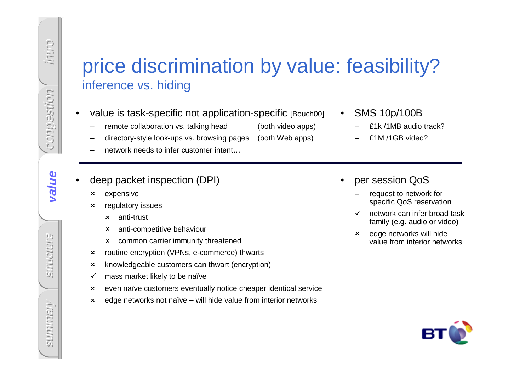# Price discrimination by value: feasibility?<br>
inference vs. hiding<br>
•• value is task-specific not application-specific [Bouch01] •• SMS 10p/100B<br>
–• remote collaboration vs. talking head<br>
–• declory-style bok-ups vs. brow

- -
- 
- 
- 
- - $\mathbf{x}$ expensive
	- $\pmb{\times}$  regulatory issues
		- $\mathbf{x}$ anti-trust
		- $\boldsymbol{\mathsf{x}}$ anti-competitive behaviour
		- common carrier immunity threatened
	- $\mathbf x$ routine encryption (VPNs, e-commerce) thwarts
	- $\mathbf x$ knowledgeable customers can thwart (encryption)
	- $\checkmark$ mass market likely to be naïve
	- $\boldsymbol{\mathsf{x}}$ even naïve customers eventually notice cheaper identical service
	- $\mathbf x$ edge networks not naïve – will hide value from interior networks
- SMS 10p/100B
	- £1k /1MB audio track?
	- £1M /1GB video?
- • per session QoS
	- request to network for specific QoS reservation
	- $\checkmark$  network can infer broad task family (e.g. audio or video)
	- $\pmb{\times}$  edge networks will hide value from interior networks

![](_page_24_Picture_24.jpeg)

intro

congestion

value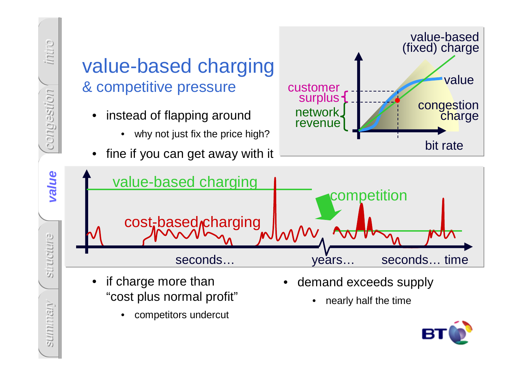![](_page_25_Figure_0.jpeg)

![](_page_25_Picture_1.jpeg)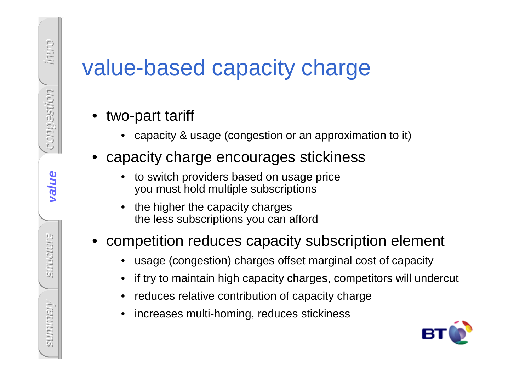# Value-based capacity charge<br>
• two-part tariff<br>
• capacity & usage (congestion or an approximation to it)<br>
• capacity charge encourages stickiness<br>
• to switch providers based on usage price<br>
• you must hold multiple subsc

- 
- -
	-

- 
- 
- 
- 

![](_page_26_Picture_12.jpeg)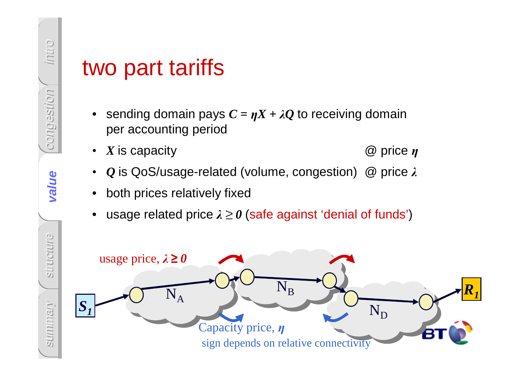- $\boldsymbol{\eta} \boldsymbol{X} + \lambda \boldsymbol{Q}$  to receiving domain per accounting period
- • $X$  is capacity  $@$  price  $\eta$
- ••  $\mathit{Q}$  is QoS/usage-related (volume, congestion)  $\mathit{\textcircled{Q}}$  price  $\lambda$
- •both prices relatively fixed
- $\bullet\;$  usage related price  $\lambda\geq 0$  (safe against 'denial of funds')

![](_page_27_Figure_7.jpeg)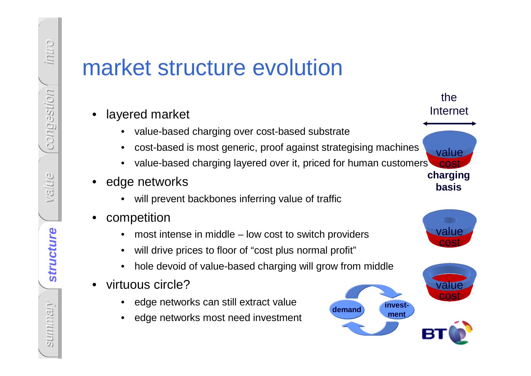- 
- 
- 
- -
- -
	-
	-
- -
	-

![](_page_28_Picture_15.jpeg)

![](_page_28_Picture_16.jpeg)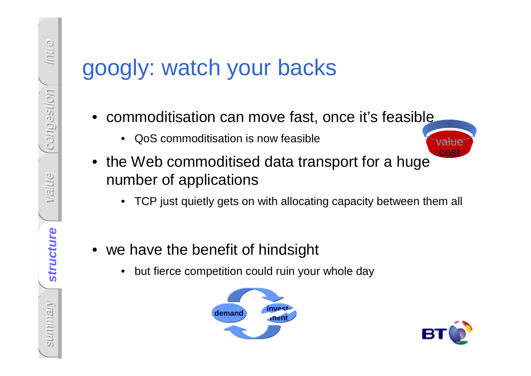- -
- googly: watch your backs<br>
 commoditisation can move fast, once it's feasible<br>
 Cos commoditisation is now teasible<br>
 the Web commoditised data transport for a huge<br>
number of applications<br>
 TCP just quietly gets on wit
	-
	- -

![](_page_29_Picture_7.jpeg)

![](_page_29_Picture_8.jpeg)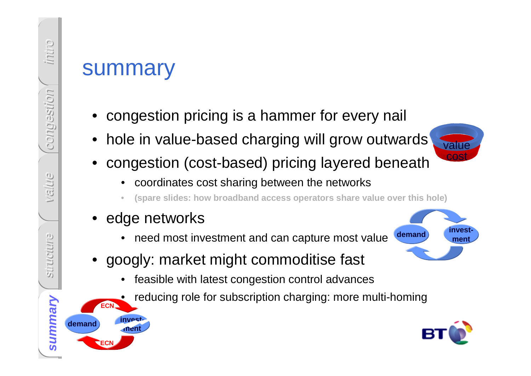- 
- Summary<br>
 congestion pricing is a hammer for every nail<br>
 hole in value-based charging will grow outwards<br>
 congestion (cost-based) pricing layered beneath<br>
 coordinates cost sharing between the networks<br>
 edge networ
	- -
		- •**(spare slides: how broadband access operators share value over this hole)**
	- edge networks

•

**investment**

**ECN**

**ECN**

**demand**

- •need most investment and can capture most value
- googly: market might commoditise fast
	- •feasible with latest congestion control advances
	- reducing role for subscription charging: more multi-homing

![](_page_30_Picture_12.jpeg)

![](_page_30_Picture_13.jpeg)

costvalue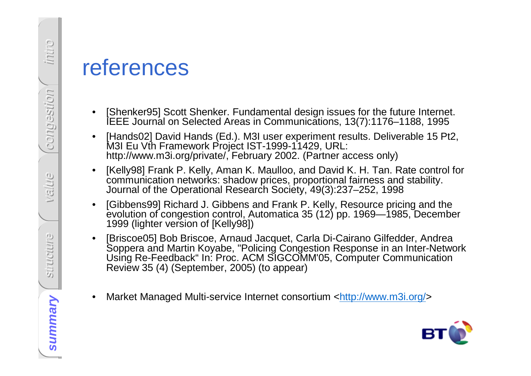- 
- 
- 
- 
- TeferenceS<br>
Sample Technology Scott Shenker. Fundamental design issues for the future Internet.<br>
Technology David Hands (Ed.). M3I user experiment results. Deliverable 15 Pt2,<br>
M3I Eu Vth Framework Project IST-1999-11429,
	- Market Managed Multi-service Internet consortium <http://www.m3i.org/>

![](_page_31_Picture_8.jpeg)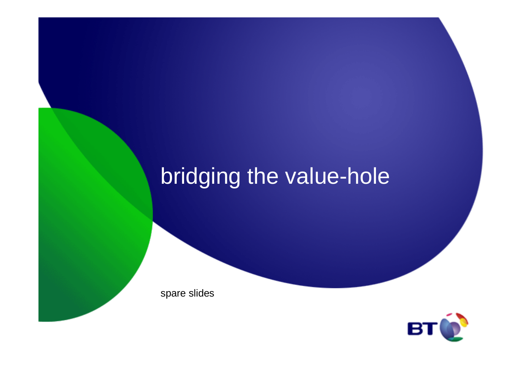# bridging the value-hole

spare slides

![](_page_32_Picture_2.jpeg)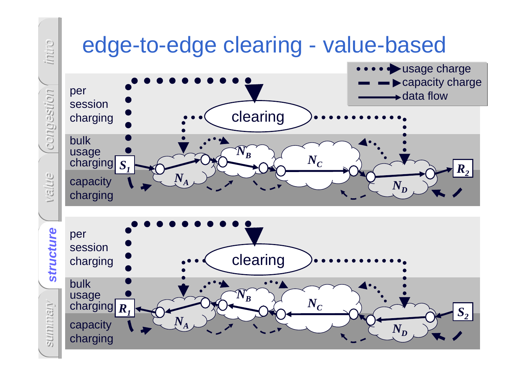![](_page_33_Figure_0.jpeg)